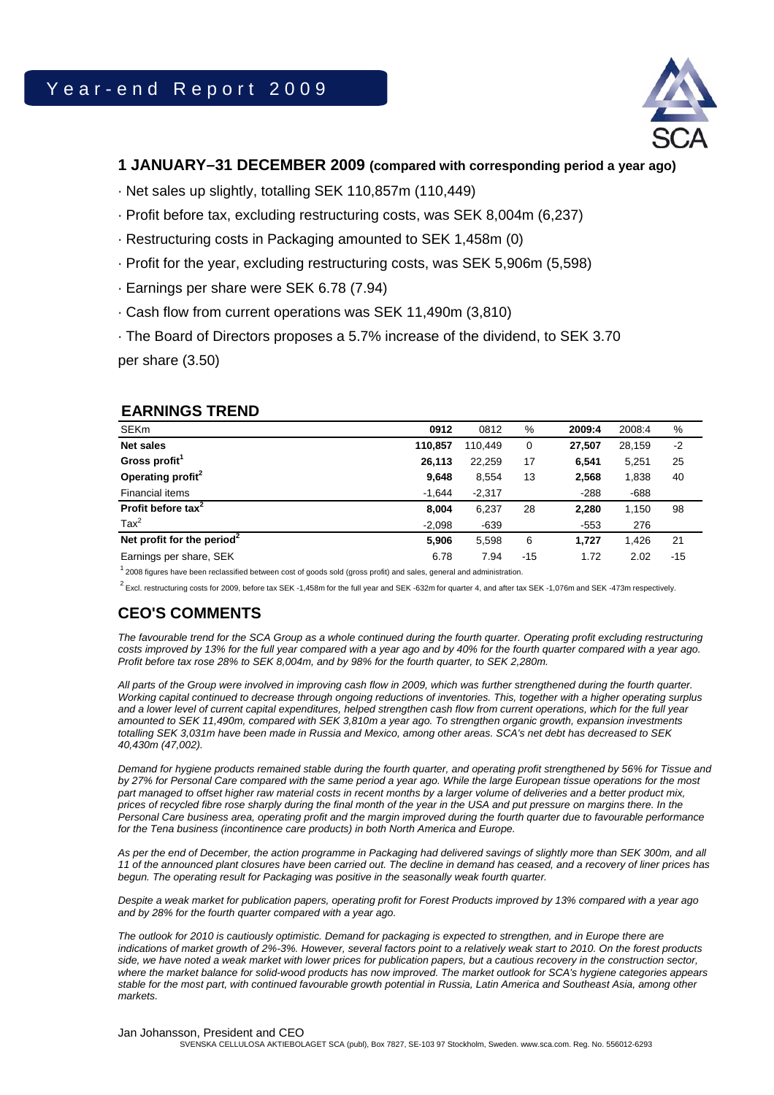

# **1 JANUARY–31 DECEMBER 2009 (compared with corresponding period a year ago)**

· Net sales up slightly, totalling SEK 110,857m (110,449)

- · Profit before tax, excluding restructuring costs, was SEK 8,004m (6,237)
- · Restructuring costs in Packaging amounted to SEK 1,458m (0)
- · Profit for the year, excluding restructuring costs, was SEK 5,906m (5,598)
- · Earnings per share were SEK 6.78 (7.94)
- · Cash flow from current operations was SEK 11,490m (3,810)
- · The Board of Directors proposes a 5.7% increase of the dividend, to SEK 3.70

per share (3.50)

# **EARNINGS TREND**

| <b>SEKm</b>                            | 0912     | 0812     | %     | 2009:4 | 2008:4 | %     |
|----------------------------------------|----------|----------|-------|--------|--------|-------|
| <b>Net sales</b>                       | 110,857  | 110.449  | 0     | 27,507 | 28,159 | $-2$  |
| Gross profit <sup>1</sup>              | 26,113   | 22,259   | 17    | 6,541  | 5,251  | 25    |
| Operating profit <sup>2</sup>          | 9,648    | 8,554    | 13    | 2,568  | 1,838  | 40    |
| Financial items                        | $-1,644$ | $-2,317$ |       | $-288$ | $-688$ |       |
| Profit before tax <sup>2</sup>         | 8,004    | 6,237    | 28    | 2,280  | 1,150  | 98    |
| $\text{Tax}^2$                         | $-2,098$ | $-639$   |       | $-553$ | 276    |       |
| Net profit for the period <sup>2</sup> | 5,906    | 5,598    | 6     | 1.727  | 1.426  | 21    |
| Earnings per share, SEK                | 6.78     | 7.94     | $-15$ | 1.72   | 2.02   | $-15$ |

 $1$  2008 figures have been reclassified between cost of goods sold (gross profit) and sales, general and administration.

 $^2$  Excl. restructuring costs for 2009, before tax SEK -1,458m for the full year and SEK -632m for quarter 4, and after tax SEK -1,076m and SEK -473m respectively.

# **CEO'S COMMENTS**

*The favourable trend for the SCA Group as a whole continued during the fourth quarter. Operating profit excluding restructuring costs improved by 13% for the full year compared with a year ago and by 40% for the fourth quarter compared with a year ago. Profit before tax rose 28% to SEK 8,004m, and by 98% for the fourth quarter, to SEK 2,280m.* 

*All parts of the Group were involved in improving cash flow in 2009, which was further strengthened during the fourth quarter. Working capital continued to decrease through ongoing reductions of inventories. This, together with a higher operating surplus and a lower level of current capital expenditures, helped strengthen cash flow from current operations, which for the full year amounted to SEK 11,490m, compared with SEK 3,810m a year ago. To strengthen organic growth, expansion investments totalling SEK 3,031m have been made in Russia and Mexico, among other areas. SCA's net debt has decreased to SEK 40,430m (47,002).* 

*Demand for hygiene products remained stable during the fourth quarter, and operating profit strengthened by 56% for Tissue and by 27% for Personal Care compared with the same period a year ago. While the large European tissue operations for the most part managed to offset higher raw material costs in recent months by a larger volume of deliveries and a better product mix, prices of recycled fibre rose sharply during the final month of the year in the USA and put pressure on margins there. In the Personal Care business area, operating profit and the margin improved during the fourth quarter due to favourable performance for the Tena business (incontinence care products) in both North America and Europe.* 

*As per the end of December, the action programme in Packaging had delivered savings of slightly more than SEK 300m, and all 11 of the announced plant closures have been carried out. The decline in demand has ceased, and a recovery of liner prices has begun. The operating result for Packaging was positive in the seasonally weak fourth quarter.* 

*Despite a weak market for publication papers, operating profit for Forest Products improved by 13% compared with a year ago and by 28% for the fourth quarter compared with a year ago.* 

*The outlook for 2010 is cautiously optimistic. Demand for packaging is expected to strengthen, and in Europe there are indications of market growth of 2%-3%. However, several factors point to a relatively weak start to 2010. On the forest products side, we have noted a weak market with lower prices for publication papers, but a cautious recovery in the construction sector, where the market balance for solid-wood products has now improved. The market outlook for SCA's hygiene categories appears stable for the most part, with continued favourable growth potential in Russia, Latin America and Southeast Asia, among other markets.* 

# Jan Johansson, President and CEO

SVENSKA CELLULOSA AKTIEBOLAGET SCA (publ), Box 7827, SE-103 97 Stockholm, Sweden. www.sca.com. Reg. No. 556012-6293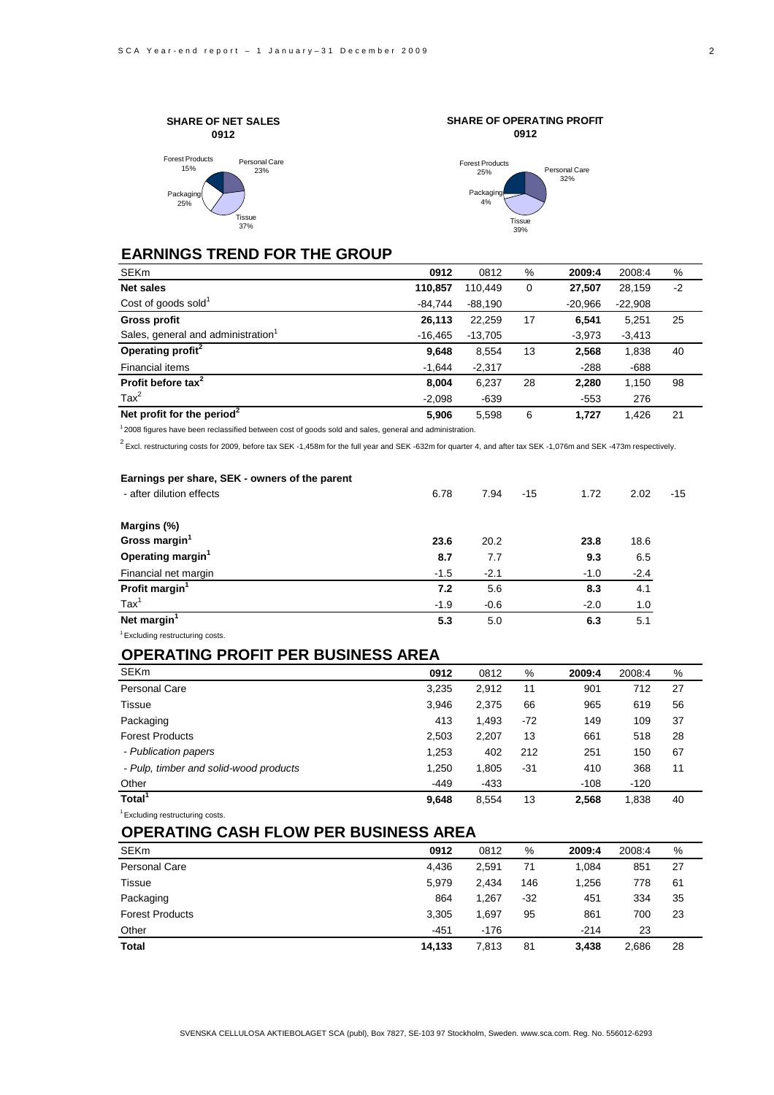



**SHARE OF OPERATING PROFIT**

# **EARNINGS TREND FOR THE GROUP**

| <b>SEKm</b>                                    | 0912      | 0812      | %  | 2009:4    | 2008:4    | %    |
|------------------------------------------------|-----------|-----------|----|-----------|-----------|------|
| <b>Net sales</b>                               | 110,857   | 110.449   | 0  | 27,507    | 28,159    | $-2$ |
| Cost of goods sold $1$                         | $-84.744$ | $-88,190$ |    | $-20.966$ | $-22,908$ |      |
| <b>Gross profit</b>                            | 26,113    | 22,259    | 17 | 6.541     | 5,251     | 25   |
| Sales, general and administration <sup>1</sup> | $-16,465$ | $-13,705$ |    | $-3,973$  | $-3,413$  |      |
| Operating profit <sup>2</sup>                  | 9,648     | 8,554     | 13 | 2,568     | 1,838     | 40   |
| Financial items                                | $-1.644$  | $-2,317$  |    | $-288$    | $-688$    |      |
| Profit before tax <sup>2</sup>                 | 8.004     | 6,237     | 28 | 2,280     | 1,150     | 98   |
| $\text{Tax}^2$                                 | $-2,098$  | $-639$    |    | $-553$    | 276       |      |
| Net profit for the period <sup>2</sup>         | 5,906     | 5.598     | 6  | 1.727     | 1.426     | 21   |

 $12008$  figures have been reclassified between cost of goods sold and sales, general and administration.

 $^2$  Excl. restructuring costs for 2009, before tax SEK -1,458m for the full year and SEK -632m for quarter 4, and after tax SEK -1,076m and SEK -473m respectively.

| Earnings per share, SEK - owners of the parent |        |        |       |        |        |       |
|------------------------------------------------|--------|--------|-------|--------|--------|-------|
| - after dilution effects                       | 6.78   | 7.94   | $-15$ | 1.72   | 2.02   | $-15$ |
| Margins (%)                                    |        |        |       |        |        |       |
| Gross margin <sup>1</sup>                      | 23.6   | 20.2   |       | 23.8   | 18.6   |       |
| Operating margin <sup>1</sup>                  | 8.7    | 7.7    |       | 9.3    | 6.5    |       |
| Financial net margin                           | $-1.5$ | $-2.1$ |       | $-1.0$ | $-2.4$ |       |
| Profit margin <sup>1</sup>                     | 7.2    | 5.6    |       | 8.3    | 4.1    |       |
| $\text{Tax}^1$                                 | $-1.9$ | $-0.6$ |       | $-2.0$ | 1.0    |       |
| Net margin <sup>1</sup>                        | 5.3    | 5.0    |       | 6.3    | 5.1    |       |
| <sup>1</sup> Excluding restructuring costs.    |        |        |       |        |        |       |

# **OPERATING PROFIT PER BUSINESS AREA**

| <b>SEKm</b>                            | 0912   | 0812   | %     | 2009:4 | 2008:4 | %  |
|----------------------------------------|--------|--------|-------|--------|--------|----|
| Personal Care                          | 3,235  | 2,912  | 11    | 901    | 712    | 27 |
| Tissue                                 | 3,946  | 2,375  | 66    | 965    | 619    | 56 |
| Packaging                              | 413    | 1,493  | $-72$ | 149    | 109    | 37 |
| <b>Forest Products</b>                 | 2,503  | 2,207  | 13    | 661    | 518    | 28 |
| - Publication papers                   | 1,253  | 402    | 212   | 251    | 150    | 67 |
| - Pulp, timber and solid-wood products | 1,250  | 1,805  | -31   | 410    | 368    | 11 |
| Other                                  | $-449$ | $-433$ |       | $-108$ | $-120$ |    |
| Total <sup>1</sup>                     | 9,648  | 8,554  | 13    | 2,568  | 1,838  | 40 |

<sup>1</sup> Excluding restructuring costs.

# **OPERATING CASH FLOW PER BUSINESS AREA**

| <b>SEKm</b>            | 0912   | 0812   | %     | 2009:4 | 2008:4 | %  |
|------------------------|--------|--------|-------|--------|--------|----|
| Personal Care          | 4,436  | 2,591  | 71    | 1.084  | 851    | 27 |
| Tissue                 | 5.979  | 2,434  | 146   | 1,256  | 778    | 61 |
| Packaging              | 864    | 1.267  | $-32$ | 451    | 334    | 35 |
| <b>Forest Products</b> | 3,305  | 1.697  | 95    | 861    | 700    | 23 |
| Other                  | $-451$ | $-176$ |       | $-214$ | 23     |    |
| <b>Total</b>           | 14,133 | 7,813  | 81    | 3,438  | 2,686  | 28 |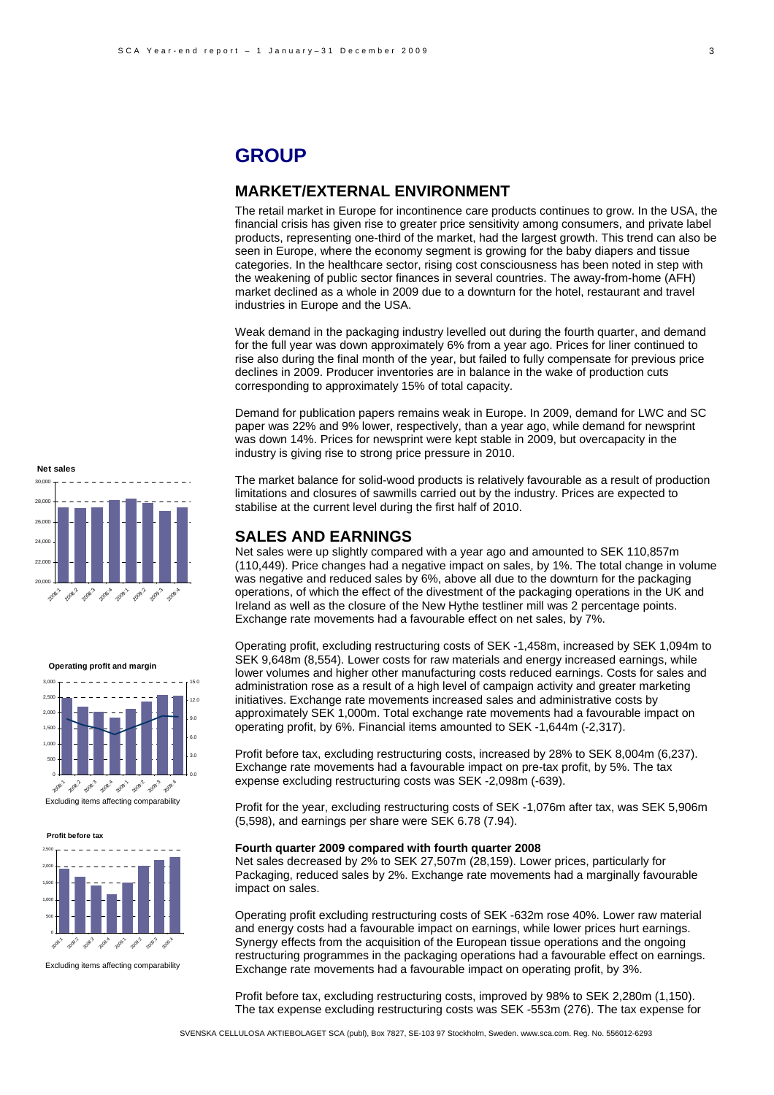# **GROUP**

### **MARKET/EXTERNAL ENVIRONMENT**

The retail market in Europe for incontinence care products continues to grow. In the USA, the financial crisis has given rise to greater price sensitivity among consumers, and private label products, representing one-third of the market, had the largest growth. This trend can also be seen in Europe, where the economy segment is growing for the baby diapers and tissue categories. In the healthcare sector, rising cost consciousness has been noted in step with the weakening of public sector finances in several countries. The away-from-home (AFH) market declined as a whole in 2009 due to a downturn for the hotel, restaurant and travel industries in Europe and the USA.

Weak demand in the packaging industry levelled out during the fourth quarter, and demand for the full year was down approximately 6% from a year ago. Prices for liner continued to rise also during the final month of the year, but failed to fully compensate for previous price declines in 2009. Producer inventories are in balance in the wake of production cuts corresponding to approximately 15% of total capacity.

Demand for publication papers remains weak in Europe. In 2009, demand for LWC and SC paper was 22% and 9% lower, respectively, than a year ago, while demand for newsprint was down 14%. Prices for newsprint were kept stable in 2009, but overcapacity in the industry is giving rise to strong price pressure in 2010.

The market balance for solid-wood products is relatively favourable as a result of production limitations and closures of sawmills carried out by the industry. Prices are expected to stabilise at the current level during the first half of 2010.

### **SALES AND EARNINGS**

Net sales were up slightly compared with a year ago and amounted to SEK 110,857m (110,449). Price changes had a negative impact on sales, by 1%. The total change in volume was negative and reduced sales by 6%, above all due to the downturn for the packaging operations, of which the effect of the divestment of the packaging operations in the UK and Ireland as well as the closure of the New Hythe testliner mill was 2 percentage points. Exchange rate movements had a favourable effect on net sales, by 7%.

Operating profit, excluding restructuring costs of SEK -1,458m, increased by SEK 1,094m to SEK 9,648m (8,554). Lower costs for raw materials and energy increased earnings, while lower volumes and higher other manufacturing costs reduced earnings. Costs for sales and administration rose as a result of a high level of campaign activity and greater marketing initiatives. Exchange rate movements increased sales and administrative costs by approximately SEK 1,000m. Total exchange rate movements had a favourable impact on operating profit, by 6%. Financial items amounted to SEK -1,644m (-2,317).

Profit before tax, excluding restructuring costs, increased by 28% to SEK 8,004m (6,237). Exchange rate movements had a favourable impact on pre-tax profit, by 5%. The tax expense excluding restructuring costs was SEK -2,098m (-639).

Profit for the year, excluding restructuring costs of SEK -1,076m after tax, was SEK 5,906m (5,598), and earnings per share were SEK 6.78 (7.94).

### **Fourth quarter 2009 compared with fourth quarter 2008**

Net sales decreased by 2% to SEK 27,507m (28,159). Lower prices, particularly for Packaging, reduced sales by 2%. Exchange rate movements had a marginally favourable impact on sales.

Operating profit excluding restructuring costs of SEK -632m rose 40%. Lower raw material and energy costs had a favourable impact on earnings, while lower prices hurt earnings. Synergy effects from the acquisition of the European tissue operations and the ongoing restructuring programmes in the packaging operations had a favourable effect on earnings. Exchange rate movements had a favourable impact on operating profit, by 3%.

Profit before tax, excluding restructuring costs, improved by 98% to SEK 2,280m (1,150). The tax expense excluding restructuring costs was SEK -553m (276). The tax expense for

SVENSKA CELLULOSA AKTIEBOLAGET SCA (publ), Box 7827, SE-103 97 Stockholm, Sweden. www.sca.com. Reg. No. 556012-6293



**Operating profit and margin**



Excluding items affecting comparability

**Profit before tax**



Excluding items affecting comparability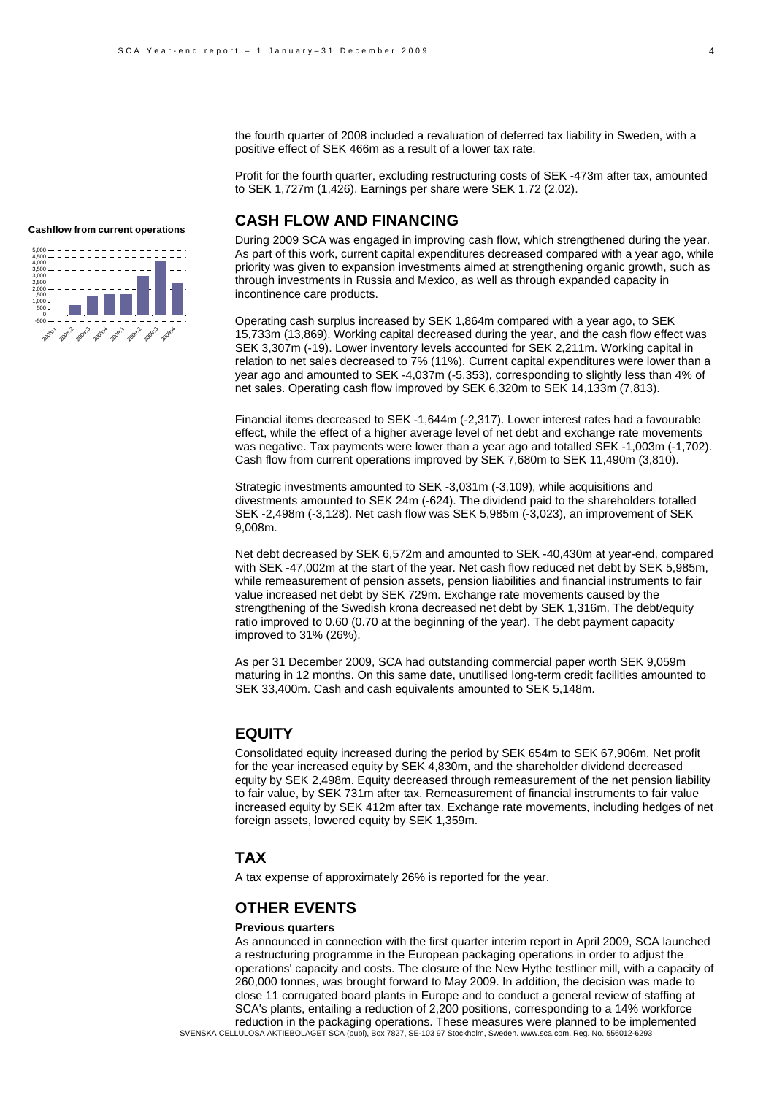the fourth quarter of 2008 included a revaluation of deferred tax liability in Sweden, with a positive effect of SEK 466m as a result of a lower tax rate.

Profit for the fourth quarter, excluding restructuring costs of SEK -473m after tax, amounted to SEK 1,727m (1,426). Earnings per share were SEK 1.72 (2.02).

# **CASH FLOW AND FINANCING**

During 2009 SCA was engaged in improving cash flow, which strengthened during the year. As part of this work, current capital expenditures decreased compared with a year ago, while priority was given to expansion investments aimed at strengthening organic growth, such as through investments in Russia and Mexico, as well as through expanded capacity in incontinence care products.

Operating cash surplus increased by SEK 1,864m compared with a year ago, to SEK 15,733m (13,869). Working capital decreased during the year, and the cash flow effect was SEK 3,307m (-19). Lower inventory levels accounted for SEK 2,211m. Working capital in relation to net sales decreased to 7% (11%). Current capital expenditures were lower than a year ago and amounted to SEK -4,037m (-5,353), corresponding to slightly less than 4% of net sales. Operating cash flow improved by SEK 6,320m to SEK 14,133m (7,813).

Financial items decreased to SEK -1,644m (-2,317). Lower interest rates had a favourable effect, while the effect of a higher average level of net debt and exchange rate movements was negative. Tax payments were lower than a year ago and totalled SEK -1,003m (-1,702). Cash flow from current operations improved by SEK 7,680m to SEK 11,490m (3,810).

Strategic investments amounted to SEK -3,031m (-3,109), while acquisitions and divestments amounted to SEK 24m (-624). The dividend paid to the shareholders totalled SEK -2,498m (-3,128). Net cash flow was SEK 5,985m (-3,023), an improvement of SEK 9,008m.

Net debt decreased by SEK 6,572m and amounted to SEK -40,430m at year-end, compared with SEK -47,002m at the start of the year. Net cash flow reduced net debt by SEK 5,985m, while remeasurement of pension assets, pension liabilities and financial instruments to fair value increased net debt by SEK 729m. Exchange rate movements caused by the strengthening of the Swedish krona decreased net debt by SEK 1,316m. The debt/equity ratio improved to 0.60 (0.70 at the beginning of the year). The debt payment capacity improved to 31% (26%).

As per 31 December 2009, SCA had outstanding commercial paper worth SEK 9,059m maturing in 12 months. On this same date, unutilised long-term credit facilities amounted to SEK 33,400m. Cash and cash equivalents amounted to SEK 5,148m.

### **EQUITY**

Consolidated equity increased during the period by SEK 654m to SEK 67,906m. Net profit for the year increased equity by SEK 4,830m, and the shareholder dividend decreased equity by SEK 2,498m. Equity decreased through remeasurement of the net pension liability to fair value, by SEK 731m after tax. Remeasurement of financial instruments to fair value increased equity by SEK 412m after tax. Exchange rate movements, including hedges of net foreign assets, lowered equity by SEK 1,359m.

### **TAX**

A tax expense of approximately 26% is reported for the year.

## **OTHER EVENTS**

#### **Previous quarters**

SVENSKA CELLULOSA AKTIEBOLAGET SCA (publ), Box 7827, SE-103 97 Stockholm, Sweden. www.sca.com. Reg. No. 556012-6293 As announced in connection with the first quarter interim report in April 2009, SCA launched a restructuring programme in the European packaging operations in order to adjust the operations' capacity and costs. The closure of the New Hythe testliner mill, with a capacity of 260,000 tonnes, was brought forward to May 2009. In addition, the decision was made to close 11 corrugated board plants in Europe and to conduct a general review of staffing at SCA's plants, entailing a reduction of 2,200 positions, corresponding to a 14% workforce reduction in the packaging operations. These measures were planned to be implemented



**Cashflow from current operations**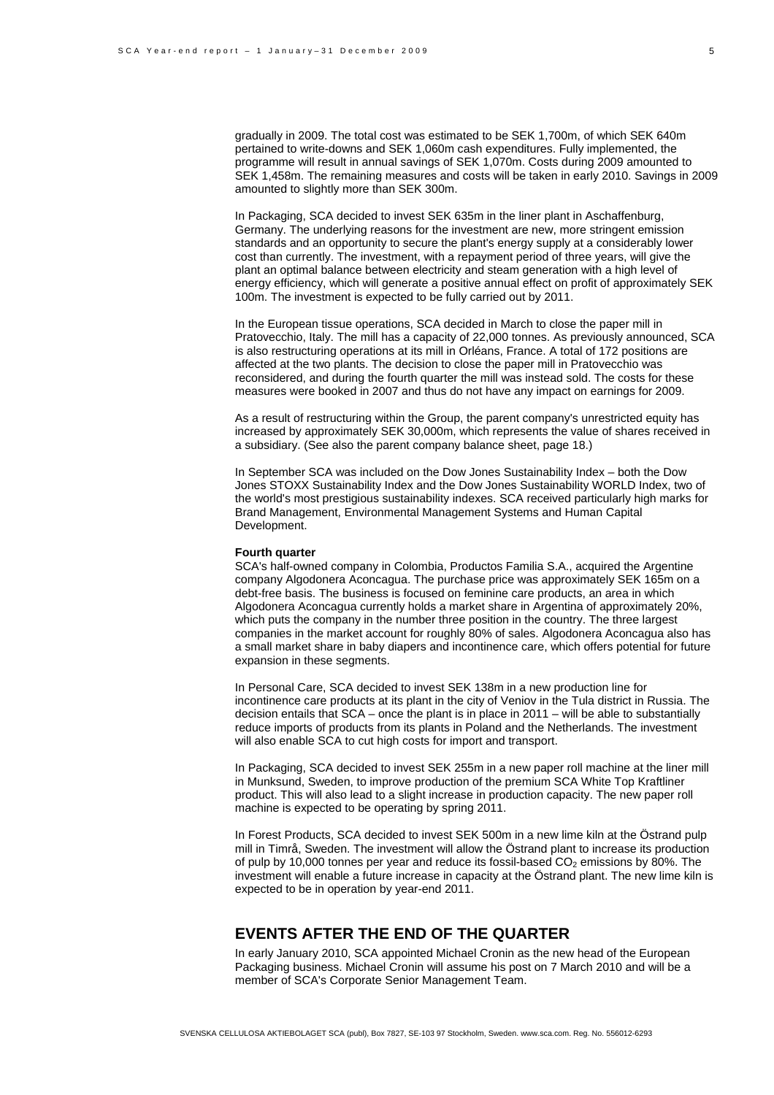gradually in 2009. The total cost was estimated to be SEK 1,700m, of which SEK 640m pertained to write-downs and SEK 1,060m cash expenditures. Fully implemented, the programme will result in annual savings of SEK 1,070m. Costs during 2009 amounted to SEK 1,458m. The remaining measures and costs will be taken in early 2010. Savings in 2009 amounted to slightly more than SEK 300m.

In Packaging, SCA decided to invest SEK 635m in the liner plant in Aschaffenburg, Germany. The underlying reasons for the investment are new, more stringent emission standards and an opportunity to secure the plant's energy supply at a considerably lower cost than currently. The investment, with a repayment period of three years, will give the plant an optimal balance between electricity and steam generation with a high level of energy efficiency, which will generate a positive annual effect on profit of approximately SEK 100m. The investment is expected to be fully carried out by 2011.

In the European tissue operations, SCA decided in March to close the paper mill in Pratovecchio, Italy. The mill has a capacity of 22,000 tonnes. As previously announced, SCA is also restructuring operations at its mill in Orléans, France. A total of 172 positions are affected at the two plants. The decision to close the paper mill in Pratovecchio was reconsidered, and during the fourth quarter the mill was instead sold. The costs for these measures were booked in 2007 and thus do not have any impact on earnings for 2009.

As a result of restructuring within the Group, the parent company's unrestricted equity has increased by approximately SEK 30,000m, which represents the value of shares received in a subsidiary. (See also the parent company balance sheet, page 18.)

In September SCA was included on the Dow Jones Sustainability Index – both the Dow Jones STOXX Sustainability Index and the Dow Jones Sustainability WORLD Index, two of the world's most prestigious sustainability indexes. SCA received particularly high marks for Brand Management, Environmental Management Systems and Human Capital Development.

#### **Fourth quarter**

SCA's half-owned company in Colombia, Productos Familia S.A., acquired the Argentine company Algodonera Aconcagua. The purchase price was approximately SEK 165m on a debt-free basis. The business is focused on feminine care products, an area in which Algodonera Aconcagua currently holds a market share in Argentina of approximately 20%, which puts the company in the number three position in the country. The three largest companies in the market account for roughly 80% of sales. Algodonera Aconcagua also has a small market share in baby diapers and incontinence care, which offers potential for future expansion in these segments.

In Personal Care, SCA decided to invest SEK 138m in a new production line for incontinence care products at its plant in the city of Veniov in the Tula district in Russia. The decision entails that SCA – once the plant is in place in 2011 – will be able to substantially reduce imports of products from its plants in Poland and the Netherlands. The investment will also enable SCA to cut high costs for import and transport.

In Packaging, SCA decided to invest SEK 255m in a new paper roll machine at the liner mill in Munksund, Sweden, to improve production of the premium SCA White Top Kraftliner product. This will also lead to a slight increase in production capacity. The new paper roll machine is expected to be operating by spring 2011.

In Forest Products, SCA decided to invest SEK 500m in a new lime kiln at the Östrand pulp mill in Timrå, Sweden. The investment will allow the Östrand plant to increase its production of pulp by 10,000 tonnes per year and reduce its fossil-based  $CO<sub>2</sub>$  emissions by 80%. The investment will enable a future increase in capacity at the Östrand plant. The new lime kiln is expected to be in operation by year-end 2011.

# **EVENTS AFTER THE END OF THE QUARTER**

In early January 2010, SCA appointed Michael Cronin as the new head of the European Packaging business. Michael Cronin will assume his post on 7 March 2010 and will be a member of SCA's Corporate Senior Management Team.

5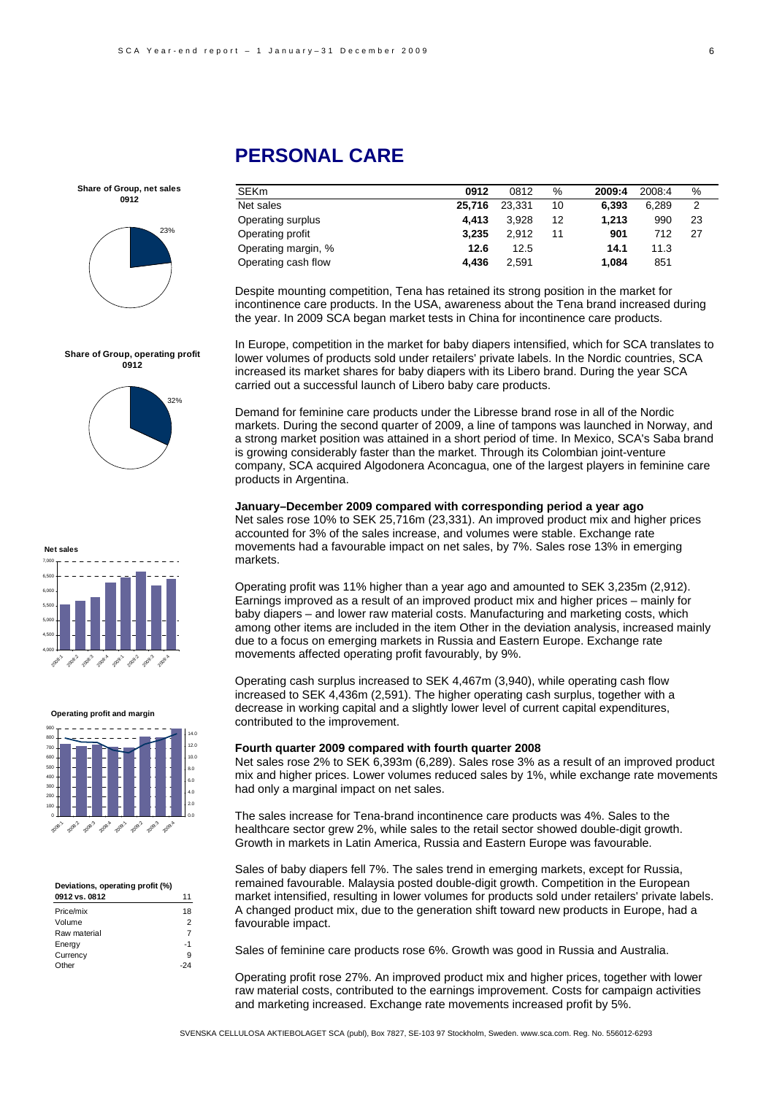

**Share of Group, operating profit 0912**

32%

SEKm **0912** 0812 % **2009:4** 2008:4 % Net sales **25,716** 23,331 10 **6,393** 6,289 2 Operating surplus **4,413** 3,928 12 **1,213** 990 23 Operating profit **3,235** 2,912 11 **901** 712 27 Operating margin, % **12.6** 12.5 **14.1** 11.3 Operating cash flow **4,436** 2,591 **1,084** 851

Despite mounting competition, Tena has retained its strong position in the market for incontinence care products. In the USA, awareness about the Tena brand increased during the year. In 2009 SCA began market tests in China for incontinence care products.

In Europe, competition in the market for baby diapers intensified, which for SCA translates to lower volumes of products sold under retailers' private labels. In the Nordic countries, SCA increased its market shares for baby diapers with its Libero brand. During the year SCA carried out a successful launch of Libero baby care products.

Demand for feminine care products under the Libresse brand rose in all of the Nordic markets. During the second quarter of 2009, a line of tampons was launched in Norway, and a strong market position was attained in a short period of time. In Mexico, SCA's Saba brand is growing considerably faster than the market. Through its Colombian joint-venture company, SCA acquired Algodonera Aconcagua, one of the largest players in feminine care products in Argentina.

**January–December 2009 compared with corresponding period a year ago**  Net sales rose 10% to SEK 25,716m (23,331). An improved product mix and higher prices accounted for 3% of the sales increase, and volumes were stable. Exchange rate movements had a favourable impact on net sales, by 7%. Sales rose 13% in emerging markets.

Operating profit was 11% higher than a year ago and amounted to SEK 3,235m (2,912). Earnings improved as a result of an improved product mix and higher prices – mainly for baby diapers – and lower raw material costs. Manufacturing and marketing costs, which among other items are included in the item Other in the deviation analysis, increased mainly due to a focus on emerging markets in Russia and Eastern Europe. Exchange rate movements affected operating profit favourably, by 9%.

Operating cash surplus increased to SEK 4,467m (3,940), while operating cash flow increased to SEK 4,436m (2,591). The higher operating cash surplus, together with a decrease in working capital and a slightly lower level of current capital expenditures, contributed to the improvement.

#### **Fourth quarter 2009 compared with fourth quarter 2008**

Net sales rose 2% to SEK 6,393m (6,289). Sales rose 3% as a result of an improved product mix and higher prices. Lower volumes reduced sales by 1%, while exchange rate movements had only a marginal impact on net sales.

The sales increase for Tena-brand incontinence care products was 4%. Sales to the healthcare sector grew 2%, while sales to the retail sector showed double-digit growth. Growth in markets in Latin America, Russia and Eastern Europe was favourable.

Sales of baby diapers fell 7%. The sales trend in emerging markets, except for Russia, remained favourable. Malaysia posted double-digit growth. Competition in the European market intensified, resulting in lower volumes for products sold under retailers' private labels. A changed product mix, due to the generation shift toward new products in Europe, had a favourable impact.

Sales of feminine care products rose 6%. Growth was good in Russia and Australia.

Operating profit rose 27%. An improved product mix and higher prices, together with lower raw material costs, contributed to the earnings improvement. Costs for campaign activities and marketing increased. Exchange rate movements increased profit by 5%.

SVENSKA CELLULOSA AKTIEBOLAGET SCA (publ), Box 7827, SE-103 97 Stockholm, Sweden. www.sca.com. Reg. No. 556012-6293

# **PERSONAL CARE**

**Net sales** 4,000 4,500 5,000 5,500 6,000 6,500 7,000

#### **Operating profit and margin**

2008:1 2009.2 2009:3 2008:4 2009.1 2009. 209.3 2009:4



#### **Deviations, operating profit (%)**

| 0912 vs. 0812 |    |
|---------------|----|
| Price/mix     | 18 |
| Volume        | 2  |
| Raw material  | 7  |
| Energy        | -1 |
| Currency      | 9  |
| Other         |    |
|               |    |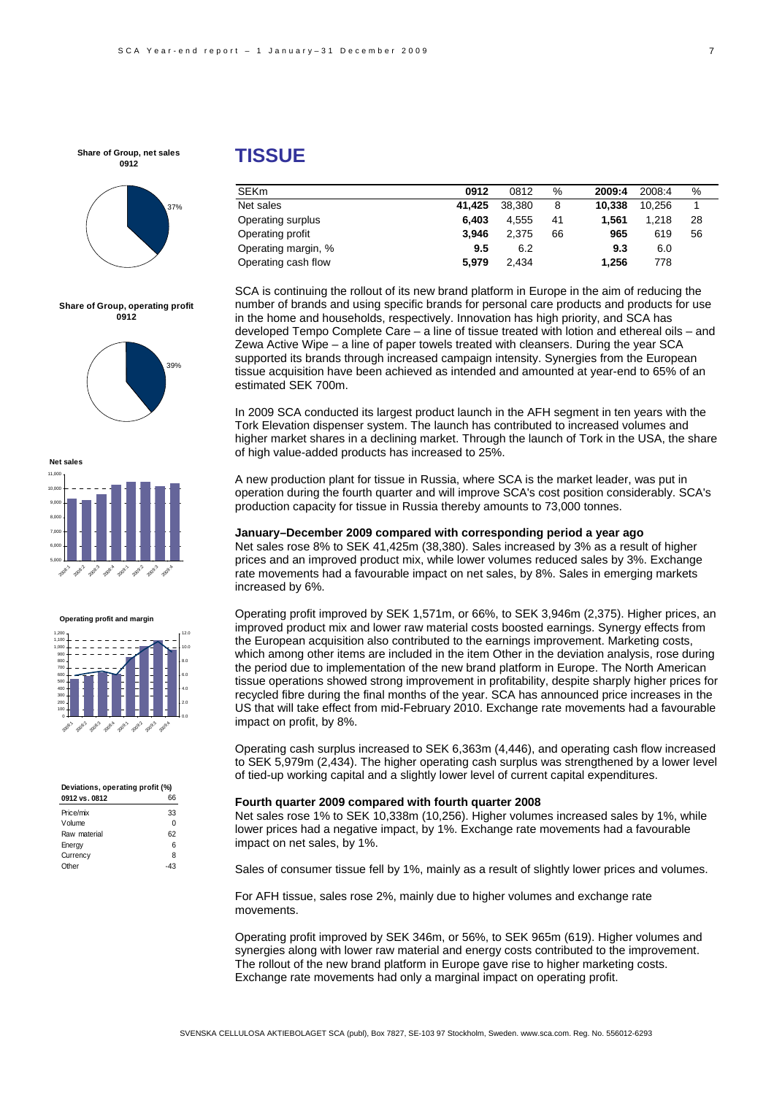

**Share of Group, operating profit 0912**





**Operating profit and margin**



#### **Deviations, operating profit (%) 0912 vs. 0812** 66

| Price/mix    | 33 |
|--------------|----|
| Volume       | 0  |
| Raw material | 62 |
| Energy       | 6  |
| Currency     | 8  |
| Other        | з  |
|              |    |

# **TISSUE**

| <b>SEKm</b>         | 0912   | 0812   | %  | 2009:4 | 2008:4 | %  |
|---------------------|--------|--------|----|--------|--------|----|
| Net sales           | 41.425 | 38,380 | 8  | 10.338 | 10.256 |    |
| Operating surplus   | 6.403  | 4.555  | 41 | 1.561  | 1.218  | 28 |
| Operating profit    | 3.946  | 2.375  | 66 | 965    | 619    | 56 |
| Operating margin, % | 9.5    | 6.2    |    | 9.3    | 6.0    |    |
| Operating cash flow | 5.979  | 2.434  |    | 1.256  | 778    |    |

SCA is continuing the rollout of its new brand platform in Europe in the aim of reducing the number of brands and using specific brands for personal care products and products for use in the home and households, respectively. Innovation has high priority, and SCA has developed Tempo Complete Care – a line of tissue treated with lotion and ethereal oils – and Zewa Active Wipe – a line of paper towels treated with cleansers. During the year SCA supported its brands through increased campaign intensity. Synergies from the European tissue acquisition have been achieved as intended and amounted at year-end to 65% of an estimated SEK 700m.

In 2009 SCA conducted its largest product launch in the AFH segment in ten years with the Tork Elevation dispenser system. The launch has contributed to increased volumes and higher market shares in a declining market. Through the launch of Tork in the USA, the share of high value-added products has increased to 25%.

A new production plant for tissue in Russia, where SCA is the market leader, was put in operation during the fourth quarter and will improve SCA's cost position considerably. SCA's production capacity for tissue in Russia thereby amounts to 73,000 tonnes.

### **January–December 2009 compared with corresponding period a year ago**

Net sales rose 8% to SEK 41,425m (38,380). Sales increased by 3% as a result of higher prices and an improved product mix, while lower volumes reduced sales by 3%. Exchange rate movements had a favourable impact on net sales, by 8%. Sales in emerging markets increased by 6%.

Operating profit improved by SEK 1,571m, or 66%, to SEK 3,946m (2,375). Higher prices, an improved product mix and lower raw material costs boosted earnings. Synergy effects from the European acquisition also contributed to the earnings improvement. Marketing costs, which among other items are included in the item Other in the deviation analysis, rose during the period due to implementation of the new brand platform in Europe. The North American tissue operations showed strong improvement in profitability, despite sharply higher prices for recycled fibre during the final months of the year. SCA has announced price increases in the US that will take effect from mid-February 2010. Exchange rate movements had a favourable impact on profit, by 8%.

Operating cash surplus increased to SEK 6,363m (4,446), and operating cash flow increased to SEK 5,979m (2,434). The higher operating cash surplus was strengthened by a lower level of tied-up working capital and a slightly lower level of current capital expenditures.

#### **Fourth quarter 2009 compared with fourth quarter 2008**

Net sales rose 1% to SEK 10,338m (10,256). Higher volumes increased sales by 1%, while lower prices had a negative impact, by 1%. Exchange rate movements had a favourable impact on net sales, by 1%.

Sales of consumer tissue fell by 1%, mainly as a result of slightly lower prices and volumes.

For AFH tissue, sales rose 2%, mainly due to higher volumes and exchange rate movements.

Operating profit improved by SEK 346m, or 56%, to SEK 965m (619). Higher volumes and synergies along with lower raw material and energy costs contributed to the improvement. The rollout of the new brand platform in Europe gave rise to higher marketing costs. Exchange rate movements had only a marginal impact on operating profit.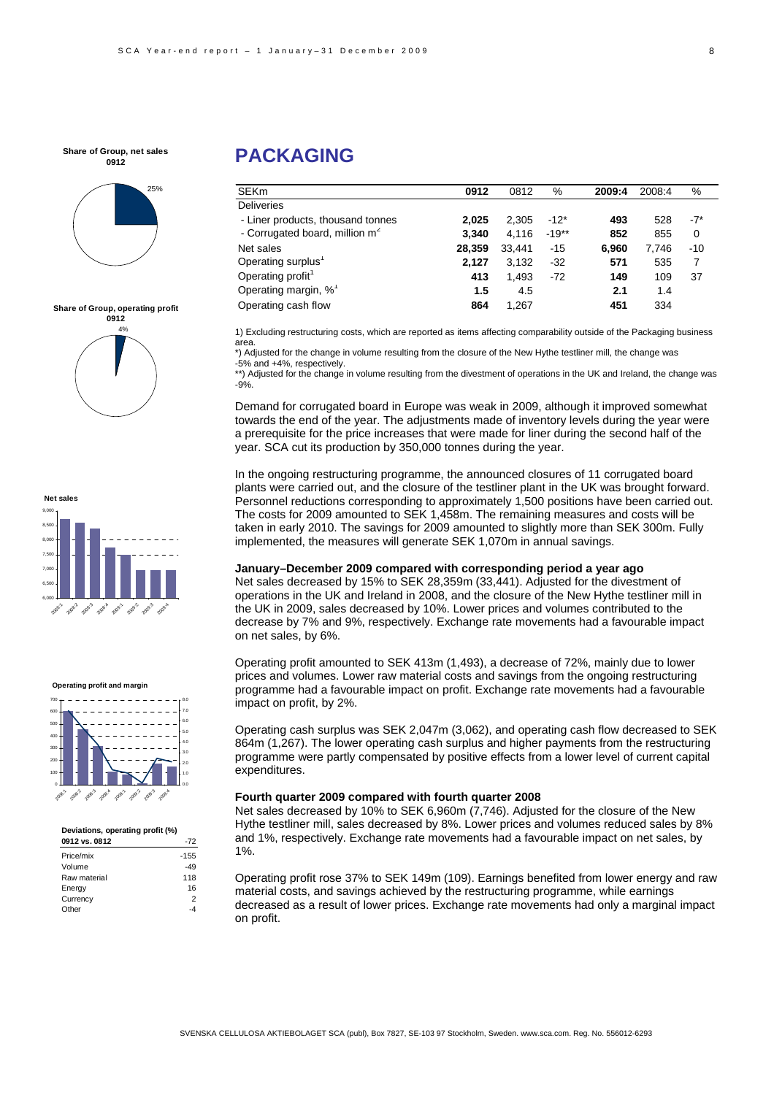

#### **Share of Group, operating profit**









| Deviations, operating profit (%) |        |
|----------------------------------|--------|
| 0912 vs. 0812                    | $-72$  |
| Price/mix                        | $-155$ |
| Volume                           | -49    |
| Raw material                     | 118    |
| Energy                           | 16     |
| Currency                         | 2      |
| Other                            |        |
|                                  |        |

# **PACKAGING**

| <b>SEKm</b>                                | 0912   | 0812   | $\%$    | 2009:4 | 2008:4 | %        |
|--------------------------------------------|--------|--------|---------|--------|--------|----------|
| <b>Deliveries</b>                          |        |        |         |        |        |          |
| - Liner products, thousand tonnes          | 2.025  | 2.305  | $-12*$  | 493    | 528    | $-7^*$   |
| - Corrugated board, million m <sup>2</sup> | 3.340  | 4.116  | $-19**$ | 852    | 855    | $\Omega$ |
| Net sales                                  | 28,359 | 33.441 | $-15$   | 6.960  | 7.746  | $-10$    |
| Operating surplus <sup>1</sup>             | 2.127  | 3,132  | $-32$   | 571    | 535    | 7        |
| Operating profit                           | 413    | 1,493  | $-72$   | 149    | 109    | 37       |
| Operating margin, % <sup>1</sup>           | 1.5    | 4.5    |         | 2.1    | 1.4    |          |
| Operating cash flow                        | 864    | 1.267  |         | 451    | 334    |          |

1) Excluding restructuring costs, which are reported as items affecting comparability outside of the Packaging business area.

\*) Adjusted for the change in volume resulting from the closure of the New Hythe testliner mill, the change was -5% and +4%, respectively.

\*\*) Adjusted for the change in volume resulting from the divestment of operations in the UK and Ireland, the change was -9%.

Demand for corrugated board in Europe was weak in 2009, although it improved somewhat towards the end of the year. The adjustments made of inventory levels during the year were a prerequisite for the price increases that were made for liner during the second half of the year. SCA cut its production by 350,000 tonnes during the year.

In the ongoing restructuring programme, the announced closures of 11 corrugated board plants were carried out, and the closure of the testliner plant in the UK was brought forward. Personnel reductions corresponding to approximately 1,500 positions have been carried out. The costs for 2009 amounted to SEK 1,458m. The remaining measures and costs will be taken in early 2010. The savings for 2009 amounted to slightly more than SEK 300m. Fully implemented, the measures will generate SEK 1,070m in annual savings.

#### **January–December 2009 compared with corresponding period a year ago**

Net sales decreased by 15% to SEK 28,359m (33,441). Adjusted for the divestment of operations in the UK and Ireland in 2008, and the closure of the New Hythe testliner mill in the UK in 2009, sales decreased by 10%. Lower prices and volumes contributed to the decrease by 7% and 9%, respectively. Exchange rate movements had a favourable impact on net sales, by 6%.

Operating profit amounted to SEK 413m (1,493), a decrease of 72%, mainly due to lower prices and volumes. Lower raw material costs and savings from the ongoing restructuring programme had a favourable impact on profit. Exchange rate movements had a favourable impact on profit, by 2%.

Operating cash surplus was SEK 2,047m (3,062), and operating cash flow decreased to SEK 864m (1,267). The lower operating cash surplus and higher payments from the restructuring programme were partly compensated by positive effects from a lower level of current capital expenditures.

#### **Fourth quarter 2009 compared with fourth quarter 2008**

Net sales decreased by 10% to SEK 6,960m (7,746). Adjusted for the closure of the New Hythe testliner mill, sales decreased by 8%. Lower prices and volumes reduced sales by 8% and 1%, respectively. Exchange rate movements had a favourable impact on net sales, by 1%.

Operating profit rose 37% to SEK 149m (109). Earnings benefited from lower energy and raw material costs, and savings achieved by the restructuring programme, while earnings decreased as a result of lower prices. Exchange rate movements had only a marginal impact on profit.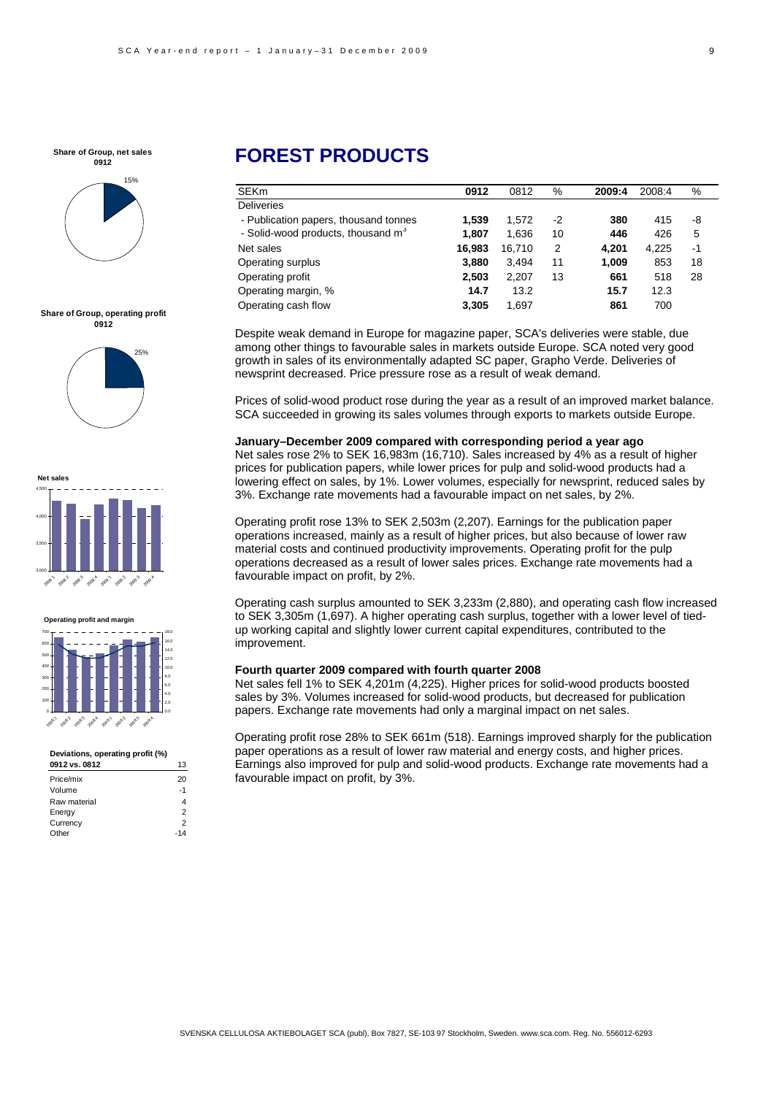

**Share of Group, operating profit 0912**









#### **Deviations, operating profit (%)**

| 0912 vs. 0812 | 13   |
|---------------|------|
| Price/mix     | 20   |
| Volume        | $-1$ |
| Raw material  | 4    |
| Energy        | 2    |
| Currency      | 2    |
| Other         |      |

# **FOREST PRODUCTS**

| 0912   | 0812   | %    | 2009:4 | 2008:4 | ℅  |
|--------|--------|------|--------|--------|----|
|        |        |      |        |        |    |
| 1.539  | 1.572  | $-2$ | 380    | 415    | -8 |
| 1.807  | 1.636  | 10   | 446    | 426    | 5  |
| 16.983 | 16,710 | 2    | 4.201  | 4,225  | -1 |
| 3.880  | 3.494  | 11   | 1,009  | 853    | 18 |
| 2.503  | 2,207  | 13   | 661    | 518    | 28 |
| 14.7   | 13.2   |      | 15.7   | 12.3   |    |
| 3.305  | 1.697  |      | 861    | 700    |    |
|        |        |      |        |        |    |

Despite weak demand in Europe for magazine paper, SCA's deliveries were stable, due among other things to favourable sales in markets outside Europe. SCA noted very good growth in sales of its environmentally adapted SC paper, Grapho Verde. Deliveries of newsprint decreased. Price pressure rose as a result of weak demand.

Prices of solid-wood product rose during the year as a result of an improved market balance. SCA succeeded in growing its sales volumes through exports to markets outside Europe.

**January–December 2009 compared with corresponding period a year ago**  Net sales rose 2% to SEK 16,983m (16,710). Sales increased by 4% as a result of higher prices for publication papers, while lower prices for pulp and solid-wood products had a lowering effect on sales, by 1%. Lower volumes, especially for newsprint, reduced sales by 3%. Exchange rate movements had a favourable impact on net sales, by 2%.

Operating profit rose 13% to SEK 2,503m (2,207). Earnings for the publication paper operations increased, mainly as a result of higher prices, but also because of lower raw material costs and continued productivity improvements. Operating profit for the pulp operations decreased as a result of lower sales prices. Exchange rate movements had a favourable impact on profit, by 2%.

Operating cash surplus amounted to SEK 3,233m (2,880), and operating cash flow increased to SEK 3,305m (1,697). A higher operating cash surplus, together with a lower level of tiedup working capital and slightly lower current capital expenditures, contributed to the improvement.

### **Fourth quarter 2009 compared with fourth quarter 2008**

Net sales fell 1% to SEK 4,201m (4,225). Higher prices for solid-wood products boosted sales by 3%. Volumes increased for solid-wood products, but decreased for publication papers. Exchange rate movements had only a marginal impact on net sales.

Operating profit rose 28% to SEK 661m (518). Earnings improved sharply for the publication paper operations as a result of lower raw material and energy costs, and higher prices. Earnings also improved for pulp and solid-wood products. Exchange rate movements had a favourable impact on profit, by 3%.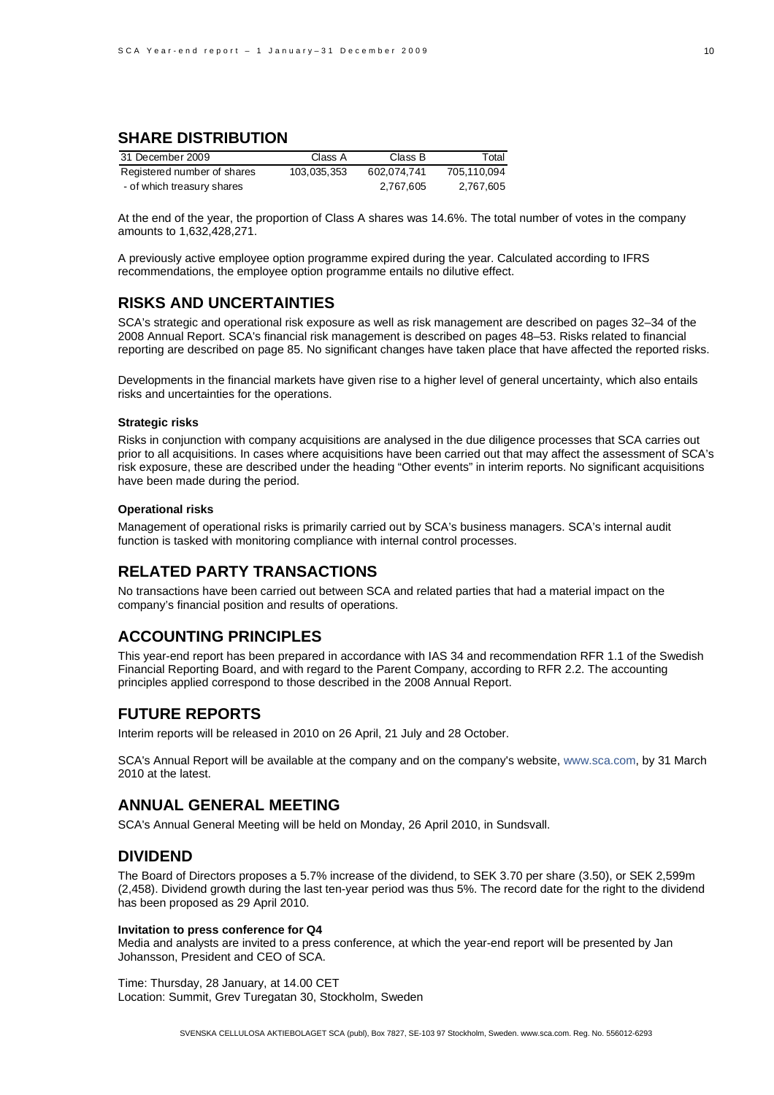# **SHARE DISTRIBUTION**

| 31 December 2009            | Class A     | Class B     | Total       |
|-----------------------------|-------------|-------------|-------------|
| Registered number of shares | 103,035,353 | 602.074.741 | 705.110.094 |
| - of which treasury shares  |             | 2,767,605   | 2.767.605   |

At the end of the year, the proportion of Class A shares was 14.6%. The total number of votes in the company amounts to 1,632,428,271.

A previously active employee option programme expired during the year. Calculated according to IFRS recommendations, the employee option programme entails no dilutive effect.

# **RISKS AND UNCERTAINTIES**

SCA's strategic and operational risk exposure as well as risk management are described on pages 32–34 of the 2008 Annual Report. SCA's financial risk management is described on pages 48–53. Risks related to financial reporting are described on page 85. No significant changes have taken place that have affected the reported risks.

Developments in the financial markets have given rise to a higher level of general uncertainty, which also entails risks and uncertainties for the operations.

#### **Strategic risks**

Risks in conjunction with company acquisitions are analysed in the due diligence processes that SCA carries out prior to all acquisitions. In cases where acquisitions have been carried out that may affect the assessment of SCA's risk exposure, these are described under the heading "Other events" in interim reports. No significant acquisitions have been made during the period.

#### **Operational risks**

Management of operational risks is primarily carried out by SCA's business managers. SCA's internal audit function is tasked with monitoring compliance with internal control processes.

## **RELATED PARTY TRANSACTIONS**

No transactions have been carried out between SCA and related parties that had a material impact on the company's financial position and results of operations.

# **ACCOUNTING PRINCIPLES**

This year-end report has been prepared in accordance with IAS 34 and recommendation RFR 1.1 of the Swedish Financial Reporting Board, and with regard to the Parent Company, according to RFR 2.2. The accounting principles applied correspond to those described in the 2008 Annual Report.

# **FUTURE REPORTS**

Interim reports will be released in 2010 on 26 April, 21 July and 28 October.

SCA's Annual Report will be available at the company and on the company's website, www.sca.com, by 31 March 2010 at the latest.

# **ANNUAL GENERAL MEETING**

SCA's Annual General Meeting will be held on Monday, 26 April 2010, in Sundsvall.

# **DIVIDEND**

The Board of Directors proposes a 5.7% increase of the dividend, to SEK 3.70 per share (3.50), or SEK 2,599m (2,458). Dividend growth during the last ten-year period was thus 5%. The record date for the right to the dividend has been proposed as 29 April 2010.

#### **Invitation to press conference for Q4**

Media and analysts are invited to a press conference, at which the year-end report will be presented by Jan Johansson, President and CEO of SCA.

Time: Thursday, 28 January, at 14.00 CET Location: Summit, Grev Turegatan 30, Stockholm, Sweden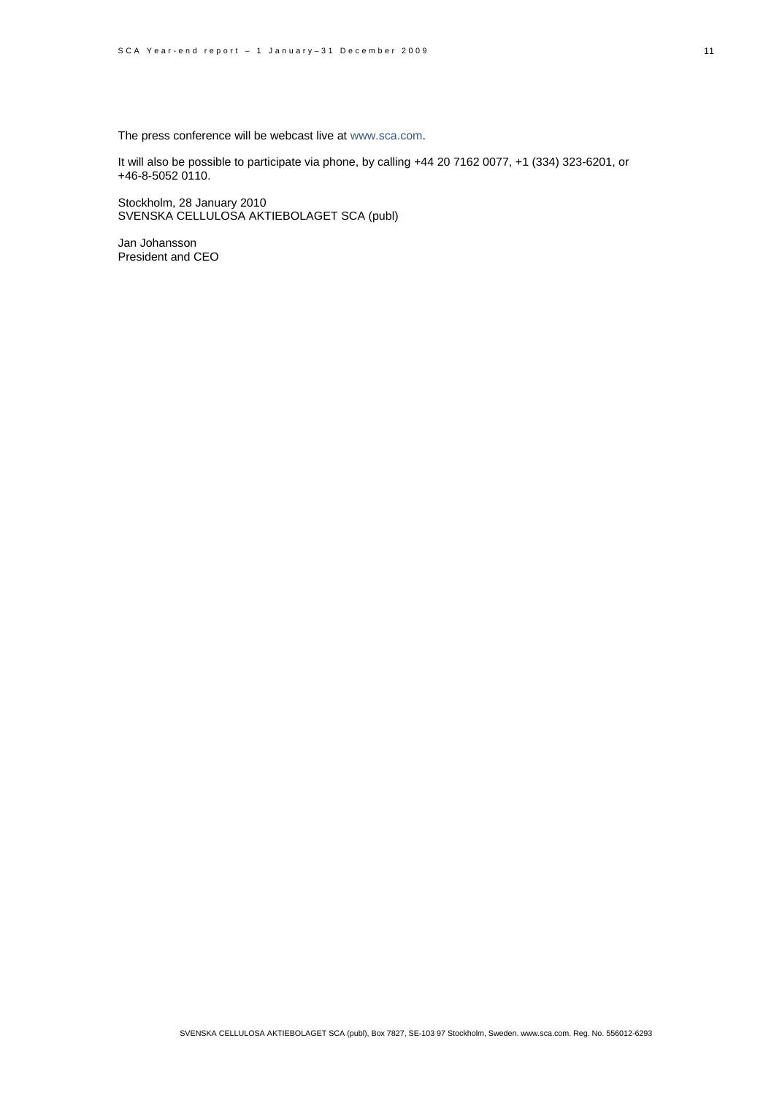The press conference will be webcast live at www.sca.com.

It will also be possible to participate via phone, by calling +44 20 7162 0077, +1 (334) 323-6201, or +46-8-5052 0110.

Stockholm, 28 January 2010 SVENSKA CELLULOSA AKTIEBOLAGET SCA (publ)

Jan Johansson President and CEO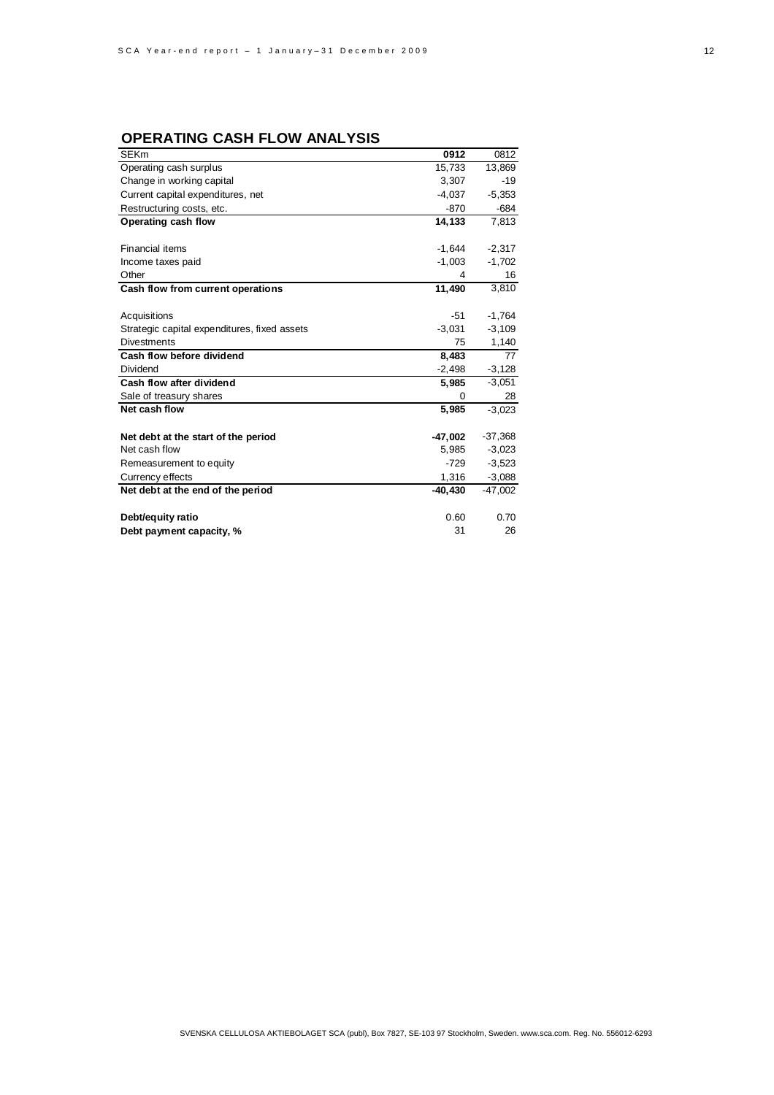# **OPERATING CASH FLOW ANALYSIS**

| <b>SEKm</b>                                  | 0912      | 0812      |
|----------------------------------------------|-----------|-----------|
| Operating cash surplus                       | 15,733    | 13,869    |
| Change in working capital                    | 3,307     | -19       |
| Current capital expenditures, net            | $-4,037$  | $-5,353$  |
| Restructuring costs, etc.                    | $-870$    | $-684$    |
| Operating cash flow                          | 14,133    | 7,813     |
|                                              |           |           |
| <b>Financial items</b>                       | $-1,644$  | $-2,317$  |
| Income taxes paid                            | $-1,003$  | $-1,702$  |
| Other                                        | 4         | 16        |
| Cash flow from current operations            | 11.490    | 3,810     |
|                                              |           |           |
| Acquisitions                                 | -51       | $-1,764$  |
| Strategic capital expenditures, fixed assets | $-3,031$  | $-3,109$  |
| <b>Divestments</b>                           | 75        | 1,140     |
| Cash flow before dividend                    | 8,483     | 77        |
| Dividend                                     | $-2,498$  | $-3,128$  |
| Cash flow after dividend                     | 5,985     | $-3,051$  |
| Sale of treasury shares                      | 0         | 28        |
| Net cash flow                                | 5,985     | $-3.023$  |
| Net debt at the start of the period          | $-47,002$ | $-37,368$ |
| Net cash flow                                | 5,985     | $-3,023$  |
| Remeasurement to equity                      | $-729$    | $-3,523$  |
| Currency effects                             | 1,316     | $-3,088$  |
| Net debt at the end of the period            | $-40.430$ | $-47,002$ |
| Debt/equity ratio                            | 0.60      | 0.70      |
| Debt payment capacity, %                     | 31        | 26        |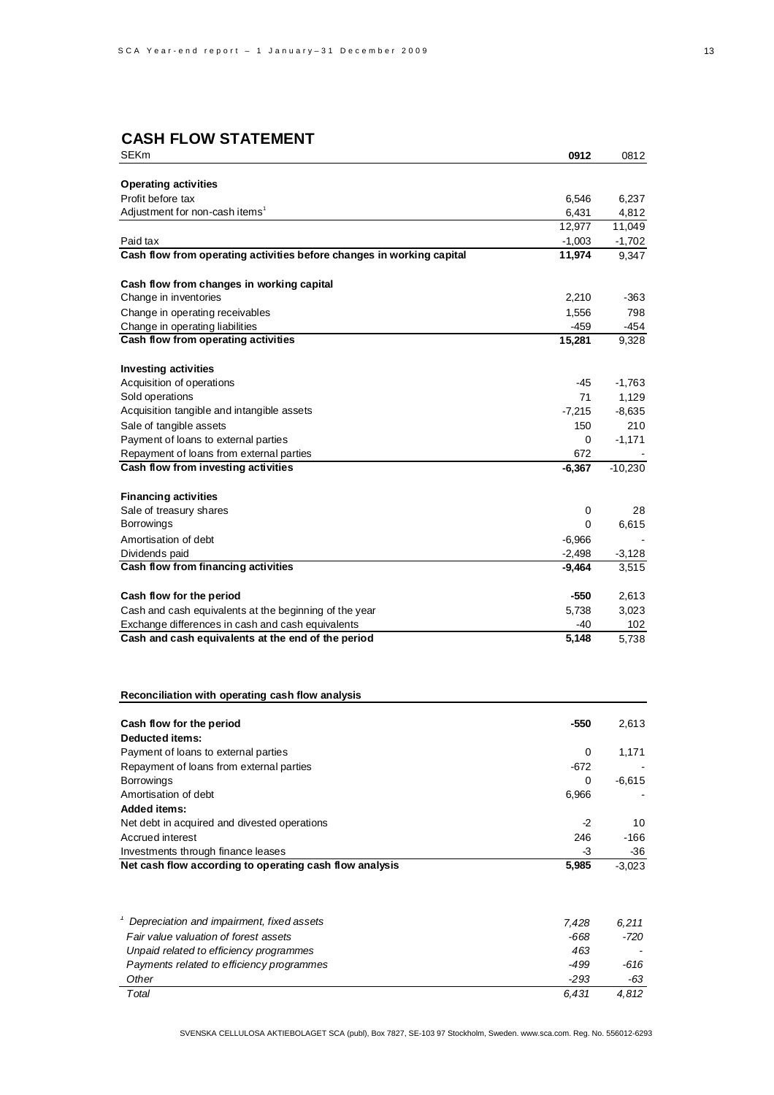# **CASH FLOW STATEMENT**

| SEKm                                                                                                    | 0912            | 0812              |
|---------------------------------------------------------------------------------------------------------|-----------------|-------------------|
|                                                                                                         |                 |                   |
| <b>Operating activities</b>                                                                             |                 |                   |
| Profit before tax<br>Adjustment for non-cash items <sup>1</sup>                                         | 6,546           | 6,237             |
|                                                                                                         | 6,431<br>12,977 | 4,812<br>11,049   |
| Paid tax                                                                                                | $-1,003$        | $-1,702$          |
| Cash flow from operating activities before changes in working capital                                   | 11,974          | 9,347             |
|                                                                                                         |                 |                   |
| Cash flow from changes in working capital                                                               |                 |                   |
| Change in inventories                                                                                   | 2,210           | -363              |
| Change in operating receivables                                                                         | 1,556           | 798               |
| Change in operating liabilities                                                                         | -459            | -454              |
| Cash flow from operating activities                                                                     | 15,281          | 9,328             |
|                                                                                                         |                 |                   |
| <b>Investing activities</b>                                                                             |                 |                   |
| Acquisition of operations<br>Sold operations                                                            | -45<br>71       | $-1,763$<br>1,129 |
| Acquisition tangible and intangible assets                                                              | $-7,215$        | $-8,635$          |
| Sale of tangible assets                                                                                 | 150             | 210               |
| Payment of loans to external parties                                                                    | 0               | $-1,171$          |
| Repayment of loans from external parties                                                                | 672             |                   |
| Cash flow from investing activities                                                                     | $-6,367$        | $-10,230$         |
|                                                                                                         |                 |                   |
| <b>Financing activities</b>                                                                             |                 |                   |
| Sale of treasury shares                                                                                 | 0               | 28                |
| <b>Borrowings</b>                                                                                       | 0               | 6,615             |
| Amortisation of debt                                                                                    | $-6,966$        |                   |
| Dividends paid                                                                                          | $-2,498$        | $-3,128$          |
| Cash flow from financing activities                                                                     | $-9,464$        | 3,515             |
|                                                                                                         |                 |                   |
| Cash flow for the period                                                                                | -550            | 2,613             |
| Cash and cash equivalents at the beginning of the year                                                  | 5,738           | 3,023             |
| Exchange differences in cash and cash equivalents<br>Cash and cash equivalents at the end of the period | -40<br>5,148    | 102               |
|                                                                                                         |                 | 5,738             |
| Reconciliation with operating cash flow analysis                                                        |                 |                   |
|                                                                                                         |                 |                   |
| Cash flow for the period                                                                                | -550            | 2,613             |
| Deducted items:                                                                                         |                 |                   |
| Payment of loans to external parties                                                                    | 0               | 1,171             |
| Repayment of loans from external parties                                                                | -672            |                   |
| <b>Borrowings</b><br>Amortisation of debt                                                               | 0<br>6,966      | $-6,615$          |
| <b>Added items:</b>                                                                                     |                 |                   |
| Net debt in acquired and divested operations                                                            | $-2$            | 10                |
| Accrued interest                                                                                        | 246             | -166              |
| Investments through finance leases                                                                      | -3              | -36               |
| Net cash flow according to operating cash flow analysis                                                 | 5,985           | $-3,023$          |
|                                                                                                         |                 |                   |
| <sup>1</sup> Depreciation and impairment, fixed assets                                                  | 7,428           | 6,211             |
| Fair value valuation of forest assets                                                                   | -668            | $-720$            |
| Unpaid related to efficiency programmes                                                                 | 463             |                   |
| Payments related to efficiency programmes                                                               | -499            | -616              |
| Other                                                                                                   | $-293$          | -63               |
| Total                                                                                                   | 6,431           | 4,812             |

SVENSKA CELLULOSA AKTIEBOLAGET SCA (publ), Box 7827, SE-103 97 Stockholm, Sweden. www.sca.com. Reg. No. 556012-6293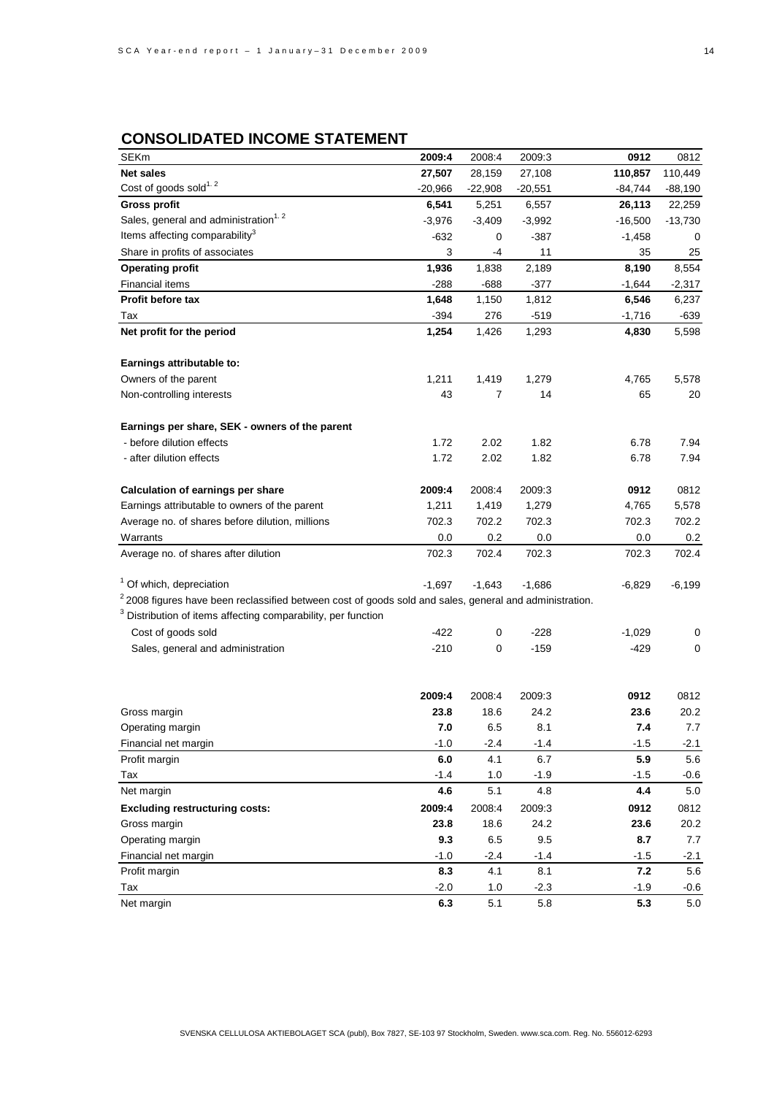# **CONSOLIDATED INCOME STATEMENT**

| <b>SEKm</b>                                                                                               | 2009:4    | 2008:4    | 2009:3    | 0912      | 0812      |
|-----------------------------------------------------------------------------------------------------------|-----------|-----------|-----------|-----------|-----------|
| <b>Net sales</b>                                                                                          | 27,507    | 28,159    | 27,108    | 110,857   | 110,449   |
| Cost of goods sold <sup>1.2</sup>                                                                         | $-20,966$ | $-22,908$ | $-20,551$ | $-84,744$ | $-88,190$ |
| <b>Gross profit</b>                                                                                       | 6,541     | 5,251     | 6,557     | 26,113    | 22,259    |
| Sales, general and administration <sup>1.2</sup>                                                          | $-3,976$  | $-3,409$  | $-3,992$  | $-16,500$ | $-13,730$ |
| Items affecting comparability <sup>3</sup>                                                                | $-632$    | 0         | $-387$    | $-1,458$  | 0         |
| Share in profits of associates                                                                            | 3         | -4        | 11        | 35        | 25        |
| <b>Operating profit</b>                                                                                   | 1,936     | 1,838     | 2,189     | 8,190     | 8,554     |
| <b>Financial items</b>                                                                                    | $-288$    | -688      | -377      | $-1,644$  | $-2,317$  |
| Profit before tax                                                                                         | 1,648     | 1,150     | 1,812     | 6,546     | 6,237     |
| Tax                                                                                                       | $-394$    | 276       | $-519$    | $-1,716$  | $-639$    |
| Net profit for the period                                                                                 | 1,254     | 1,426     | 1,293     | 4,830     | 5,598     |
|                                                                                                           |           |           |           |           |           |
| Earnings attributable to:                                                                                 |           |           |           |           |           |
| Owners of the parent                                                                                      | 1,211     | 1,419     | 1,279     | 4,765     | 5,578     |
| Non-controlling interests                                                                                 | 43        | 7         | 14        | 65        | 20        |
|                                                                                                           |           |           |           |           |           |
| Earnings per share, SEK - owners of the parent                                                            |           |           |           |           |           |
| - before dilution effects                                                                                 | 1.72      | 2.02      | 1.82      | 6.78      | 7.94      |
| - after dilution effects                                                                                  | 1.72      | 2.02      | 1.82      | 6.78      | 7.94      |
|                                                                                                           |           |           |           |           |           |
| Calculation of earnings per share                                                                         | 2009:4    | 2008:4    | 2009:3    | 0912      | 0812      |
| Earnings attributable to owners of the parent                                                             | 1,211     | 1,419     | 1,279     | 4,765     | 5,578     |
| Average no. of shares before dilution, millions                                                           | 702.3     | 702.2     | 702.3     | 702.3     | 702.2     |
| Warrants                                                                                                  | 0.0       | 0.2       | 0.0       | 0.0       | 0.2       |
| Average no. of shares after dilution                                                                      | 702.3     | 702.4     | 702.3     | 702.3     | 702.4     |
|                                                                                                           |           |           |           |           |           |
| <sup>1</sup> Of which, depreciation                                                                       | $-1,697$  | $-1,643$  | $-1,686$  | $-6,829$  | $-6,199$  |
| $2$ 2008 figures have been reclassified between cost of goods sold and sales, general and administration. |           |           |           |           |           |
| <sup>3</sup> Distribution of items affecting comparability, per function                                  |           |           |           |           |           |
| Cost of goods sold                                                                                        | $-422$    | 0         | $-228$    | $-1,029$  | 0         |
| Sales, general and administration                                                                         | $-210$    | 0         | $-159$    | $-429$    | 0         |
|                                                                                                           |           |           |           |           |           |
|                                                                                                           |           |           |           |           |           |
|                                                                                                           | 2009:4    | 2008:4    | 2009:3    | 0912      | 0812      |
| Gross margin                                                                                              | 23.8      | 18.6      | 24.2      | 23.6      | 20.2      |
| Operating margin                                                                                          | 7.0       | 6.5       | 8.1       | 7.4       | 7.7       |
| Financial net margin                                                                                      | $-1.0$    | $-2.4$    | $-1.4$    | $-1.5$    | $-2.1$    |
| Profit margin                                                                                             | 6.0       | 4.1       | 6.7       | 5.9       | 5.6       |
| Tax                                                                                                       | $-1.4$    | 1.0       | $-1.9$    | $-1.5$    | $-0.6$    |
| Net margin                                                                                                | 4.6       | 5.1       | 4.8       | 4.4       | 5.0       |
| <b>Excluding restructuring costs:</b>                                                                     | 2009:4    | 2008:4    | 2009:3    | 0912      | 0812      |
| Gross margin                                                                                              | 23.8      | 18.6      | 24.2      | 23.6      | 20.2      |
| Operating margin                                                                                          | 9.3       | 6.5       | 9.5       | 8.7       | $7.7\,$   |
| Financial net margin                                                                                      | $-1.0$    | $-2.4$    | $-1.4$    | $-1.5$    | $-2.1$    |
| Profit margin                                                                                             | 8.3       | 4.1       | 8.1       | 7.2       | $5.6\,$   |
| Tax                                                                                                       | $-2.0$    | 1.0       | $-2.3$    | $-1.9$    | $-0.6$    |
| Net margin                                                                                                | 6.3       | 5.1       | 5.8       | 5.3       | 5.0       |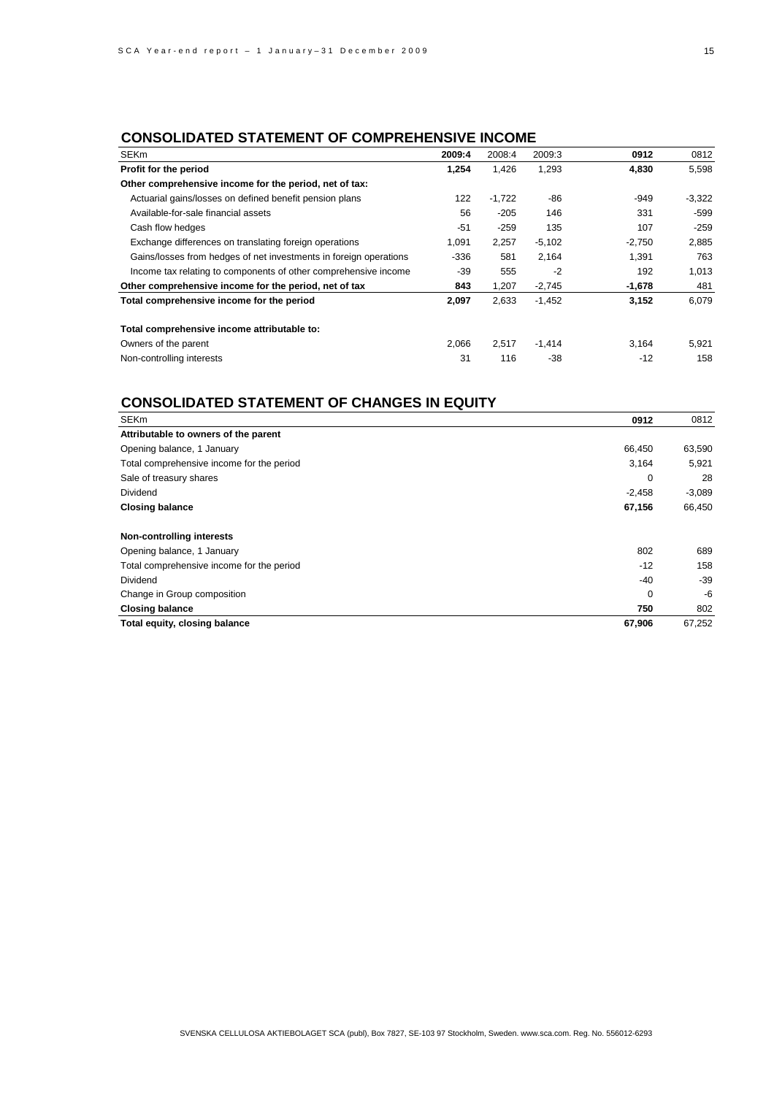# **CONSOLIDATED STATEMENT OF COMPREHENSIVE INCOME**

| <b>SEKm</b>                                                       | 2009:4 | 2008:4   | 2009:3   | 0912     | 0812     |
|-------------------------------------------------------------------|--------|----------|----------|----------|----------|
| Profit for the period                                             | 1,254  | 1,426    | 1,293    | 4,830    | 5,598    |
| Other comprehensive income for the period, net of tax:            |        |          |          |          |          |
| Actuarial gains/losses on defined benefit pension plans           | 122    | $-1,722$ | -86      | $-949$   | $-3,322$ |
| Available-for-sale financial assets                               | 56     | $-205$   | 146      | 331      | $-599$   |
| Cash flow hedges                                                  | $-51$  | $-259$   | 135      | 107      | $-259$   |
| Exchange differences on translating foreign operations            | 1.091  | 2,257    | $-5,102$ | $-2,750$ | 2,885    |
| Gains/losses from hedges of net investments in foreign operations | $-336$ | 581      | 2,164    | 1,391    | 763      |
| Income tax relating to components of other comprehensive income   | $-39$  | 555      | $-2$     | 192      | 1,013    |
| Other comprehensive income for the period, net of tax             | 843    | 1,207    | $-2,745$ | $-1,678$ | 481      |
| Total comprehensive income for the period                         | 2,097  | 2,633    | $-1,452$ | 3,152    | 6.079    |
| Total comprehensive income attributable to:                       |        |          |          |          |          |
| Owners of the parent                                              | 2,066  | 2,517    | $-1,414$ | 3,164    | 5,921    |
| Non-controlling interests                                         | 31     | 116      | -38      | $-12$    | 158      |

# **CONSOLIDATED STATEMENT OF CHANGES IN EQUITY**

| <b>SEKm</b>                               | 0912     | 0812     |
|-------------------------------------------|----------|----------|
| Attributable to owners of the parent      |          |          |
| Opening balance, 1 January                | 66,450   | 63,590   |
| Total comprehensive income for the period | 3,164    | 5,921    |
| Sale of treasury shares                   | $\Omega$ | 28       |
| <b>Dividend</b>                           | $-2,458$ | $-3,089$ |
| <b>Closing balance</b>                    | 67,156   | 66,450   |
| <b>Non-controlling interests</b>          |          |          |
| Opening balance, 1 January                | 802      | 689      |
| Total comprehensive income for the period | $-12$    | 158      |
| <b>Dividend</b>                           | $-40$    | $-39$    |
| Change in Group composition               | $\Omega$ | -6       |
| <b>Closing balance</b>                    | 750      | 802      |
| Total equity, closing balance             | 67,906   | 67,252   |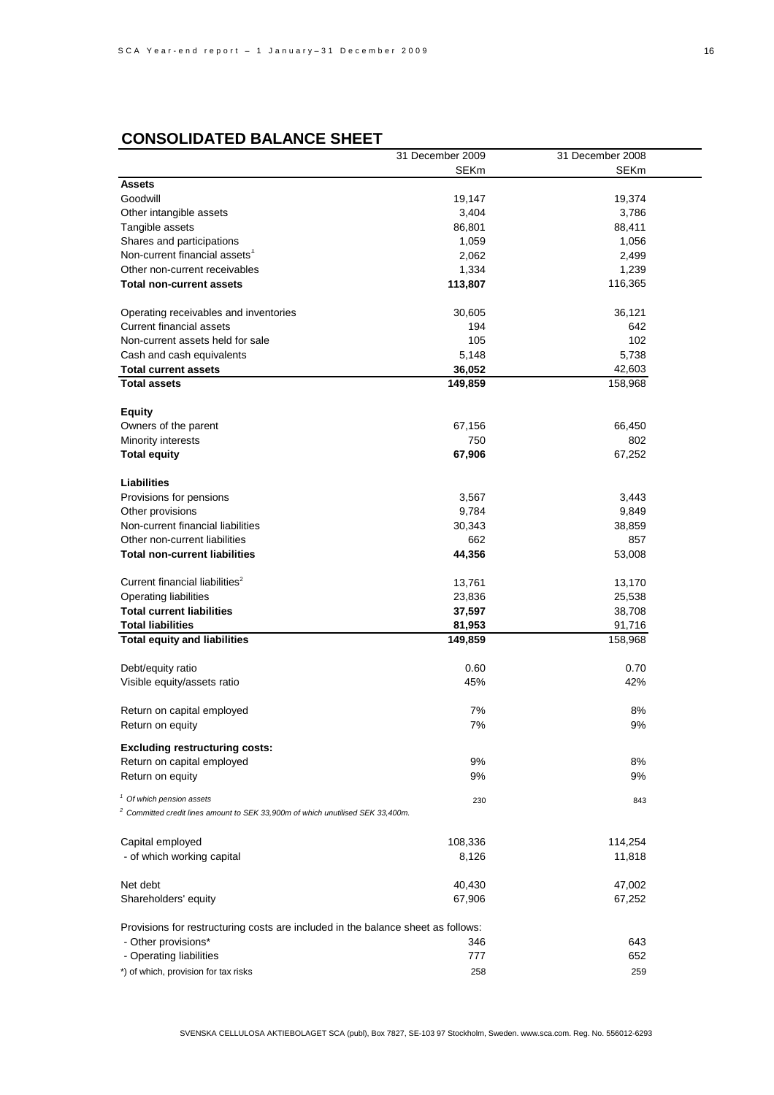# **CONSOLIDATED BALANCE SHEET**

|                                                                                   | 31 December 2009 | 31 December 2008 |
|-----------------------------------------------------------------------------------|------------------|------------------|
|                                                                                   | <b>SEKm</b>      | <b>SEKm</b>      |
| <b>Assets</b>                                                                     |                  |                  |
| Goodwill                                                                          | 19,147           | 19,374           |
| Other intangible assets                                                           | 3,404            | 3,786            |
| Tangible assets                                                                   | 86,801           | 88,411           |
| Shares and participations                                                         | 1,059            | 1,056            |
| Non-current financial assets <sup>1</sup>                                         | 2,062            | 2,499            |
| Other non-current receivables                                                     | 1,334            | 1,239            |
| Total non-current assets                                                          | 113,807          | 116,365          |
| Operating receivables and inventories                                             | 30,605           | 36,121           |
| <b>Current financial assets</b>                                                   | 194              | 642              |
| Non-current assets held for sale                                                  | 105              | 102              |
| Cash and cash equivalents                                                         | 5,148            | 5,738            |
| <b>Total current assets</b>                                                       | 36,052           | 42,603           |
| <b>Total assets</b>                                                               | 149,859          | 158,968          |
| <b>Equity</b>                                                                     |                  |                  |
| Owners of the parent                                                              | 67,156           | 66,450           |
| Minority interests                                                                | 750              | 802              |
| <b>Total equity</b>                                                               | 67,906           | 67,252           |
| Liabilities                                                                       |                  |                  |
| Provisions for pensions                                                           | 3,567            | 3,443            |
| Other provisions                                                                  | 9,784            | 9,849            |
| Non-current financial liabilities                                                 | 30,343           | 38,859           |
| Other non-current liabilities                                                     | 662              | 857              |
| Total non-current liabilities                                                     | 44,356           | 53,008           |
| Current financial liabilities <sup>2</sup>                                        | 13,761           | 13,170           |
| <b>Operating liabilities</b>                                                      | 23,836           | 25,538           |
| <b>Total current liabilities</b>                                                  | 37,597           | 38,708           |
| <b>Total liabilities</b>                                                          | 81,953           | 91,716           |
| <b>Total equity and liabilities</b>                                               | 149,859          | 158,968          |
| Debt/equity ratio                                                                 | 0.60             | 0.70             |
| Visible equity/assets ratio                                                       | 45%              | 42%              |
|                                                                                   | 7%               | 8%               |
| Return on capital employed                                                        | 7%               | 9%               |
| Return on equity                                                                  |                  |                  |
| <b>Excluding restructuring costs:</b>                                             |                  |                  |
| Return on capital employed                                                        | 9%               | 8%               |
| Return on equity                                                                  | 9%               | 9%               |
| <sup>1</sup> Of which pension assets                                              | 230              | 843              |
| $2$ Committed credit lines amount to SEK 33,900m of which unutilised SEK 33,400m. |                  |                  |
| Capital employed                                                                  | 108,336          | 114,254          |
| - of which working capital                                                        | 8,126            | 11,818           |
|                                                                                   |                  |                  |
| Net debt                                                                          | 40,430           | 47,002           |
| Shareholders' equity                                                              | 67,906           | 67,252           |
| Provisions for restructuring costs are included in the balance sheet as follows:  |                  |                  |
| - Other provisions*                                                               | 346              | 643              |
| - Operating liabilities                                                           | 777              | 652              |
| *) of which, provision for tax risks                                              | 258              | 259              |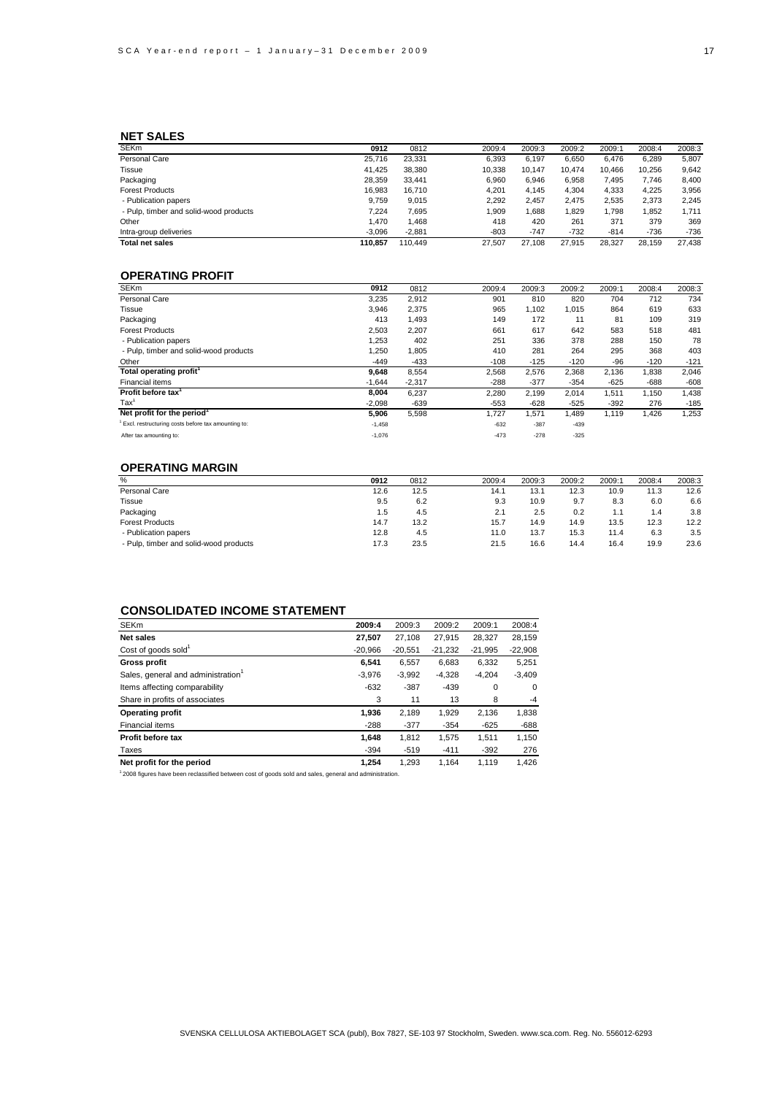### **NET SALES**

| <b>SEKm</b>                            | 0912     | 0812     | 2009:4 | 2009:3 | 2009:2 | 2009:1 | 2008:4 | 2008:3 |
|----------------------------------------|----------|----------|--------|--------|--------|--------|--------|--------|
| Personal Care                          | 25.716   | 23.331   | 6.393  | 6.197  | 6.650  | 6.476  | 6,289  | 5,807  |
| Tissue                                 | 41.425   | 38,380   | 10.338 | 10.147 | 10.474 | 10.466 | 10.256 | 9,642  |
| Packaging                              | 28.359   | 33.441   | 6.960  | 6.946  | 6,958  | 7,495  | 7.746  | 8.400  |
| <b>Forest Products</b>                 | 16.983   | 16.710   | 4.201  | 4.145  | 4,304  | 4,333  | 4.225  | 3,956  |
| - Publication papers                   | 9.759    | 9.015    | 2.292  | 2.457  | 2.475  | 2,535  | 2.373  | 2.245  |
| - Pulp, timber and solid-wood products | 7.224    | 7,695    | 909.   | 886,   | 829,   | 1,798  | 1.852  | 1.711  |
| Other                                  | 1.470    | 1,468    | 418    | 420    | 261    | 371    | 379    | 369    |
| Intra-group deliveries                 | $-3.096$ | $-2.881$ | $-803$ | $-747$ | $-732$ | $-814$ | $-736$ | $-736$ |
| <b>Total net sales</b>                 | 110.857  | 110.449  | 27,507 | 27.108 | 27.915 | 28.327 | 28.159 | 27.438 |

### **OPERATING PROFIT**

| <b>SEKm</b>                                        | 0912     | 0812     | 2009:4 | 2009:3 | 2009:2 | 2009:1 | 2008:4 | 2008:3 |
|----------------------------------------------------|----------|----------|--------|--------|--------|--------|--------|--------|
| Personal Care                                      | 3,235    | 2,912    | 901    | 810    | 820    | 704    | 712    | 734    |
| Tissue                                             | 3,946    | 2,375    | 965    | 1,102  | 1,015  | 864    | 619    | 633    |
| Packaging                                          | 413      | 1,493    | 149    | 172    | 11     | 81     | 109    | 319    |
| <b>Forest Products</b>                             | 2,503    | 2,207    | 661    | 617    | 642    | 583    | 518    | 481    |
| - Publication papers                               | 1,253    | 402      | 251    | 336    | 378    | 288    | 150    | 78     |
| - Pulp, timber and solid-wood products             | 1,250    | 1,805    | 410    | 281    | 264    | 295    | 368    | 403    |
| Other                                              | $-449$   | $-433$   | $-108$ | $-125$ | $-120$ | -96    | $-120$ | $-121$ |
| Total operating profit <sup>1</sup>                | 9,648    | 8,554    | 2,568  | 2,576  | 2,368  | 2,136  | 1,838  | 2,046  |
| Financial items                                    | $-1,644$ | $-2,317$ | $-288$ | $-377$ | $-354$ | $-625$ | $-688$ | $-608$ |
| Profit before tax                                  | 8,004    | 6,237    | 2,280  | 2,199  | 2,014  | 1,511  | 1,150  | 1,438  |
| $\text{Tax}^1$                                     | $-2,098$ | $-639$   | $-553$ | $-628$ | $-525$ | $-392$ | 276    | $-185$ |
| Net profit for the period <sup>1</sup>             | 5,906    | 5,598    | 1.727  | 1,571  | 1,489  | 1,119  | 1,426  | 1,253  |
| Excl. restructuring costs before tax amounting to: | $-1,458$ |          | $-632$ | $-387$ | $-439$ |        |        |        |
| After tax amounting to:                            | $-1,076$ |          | $-473$ | $-278$ | $-325$ |        |        |        |

### **OPERATING MARGIN**

| %                                      | 0912 | 0812 | 2009:4 | 2009:3 | 2009:2 | 2009:1 | 2008:4 | 2008:3 |
|----------------------------------------|------|------|--------|--------|--------|--------|--------|--------|
| Personal Care                          | 12.6 | 12.5 | 14.1   | 13.1   | 12.3   | 10.9   | 11.3   | 12.6   |
| <b>Tissue</b>                          | 9.5  | 6.2  | 9.3    | 10.9   | 9.7    | 8.3    | 6.0    | 6.6    |
| Packaging                              | 1.5  | 4.5  | 2.1    | 2.5    | 0.2    | 1.1    | 4. ا   | 3.8    |
| <b>Forest Products</b>                 | 14.7 | 13.2 | 15.7   | 14.9   | 14.9   | 13.5   | 12.3   | 12.2   |
| - Publication papers                   | 12.8 | 4.5  | 11.0   | 13.7   | 15.3   | 11.4   | 6.3    | 3.5    |
| - Pulp, timber and solid-wood products | 17.3 | 23.5 | 21.5   | 16.6   | 14.4   | 16.4   | 19.9   | 23.6   |
|                                        |      |      |        |        |        |        |        |        |

### **CONSOLIDATED INCOME STATEMENT**

| <b>SEKm</b>                                    | 2009:4    | 2009:3    | 2009:2    | 2009:1    | 2008:4      |
|------------------------------------------------|-----------|-----------|-----------|-----------|-------------|
| <b>Net sales</b>                               | 27,507    | 27.108    | 27.915    | 28.327    | 28,159      |
| Cost of goods sold <sup>1</sup>                | $-20.966$ | $-20.551$ | $-21.232$ | $-21.995$ | $-22,908$   |
| <b>Gross profit</b>                            | 6.541     | 6.557     | 6.683     | 6.332     | 5.251       |
| Sales, general and administration <sup>1</sup> | $-3.976$  | $-3.992$  | $-4.328$  | $-4.204$  | $-3.409$    |
| Items affecting comparability                  | $-632$    | $-387$    | $-439$    | $\Omega$  | $\mathbf 0$ |
| Share in profits of associates                 | 3         | 11        | 13        | 8         | $-4$        |
| <b>Operating profit</b>                        | 1.936     | 2,189     | 1,929     | 2,136     | 1,838       |
| Financial items                                | $-288$    | $-377$    | $-354$    | $-625$    | $-688$      |
| Profit before tax                              | 1.648     | 1.812     | 1.575     | 1.511     | 1,150       |
| Taxes                                          | $-394$    | $-519$    | $-411$    | $-392$    | 276         |
| Net profit for the period                      | 1.254     | 1.293     | 1.164     | 1.119     | 1.426       |

1 2008 figures have been reclassified between cost of goods sold and sales, general and administration.